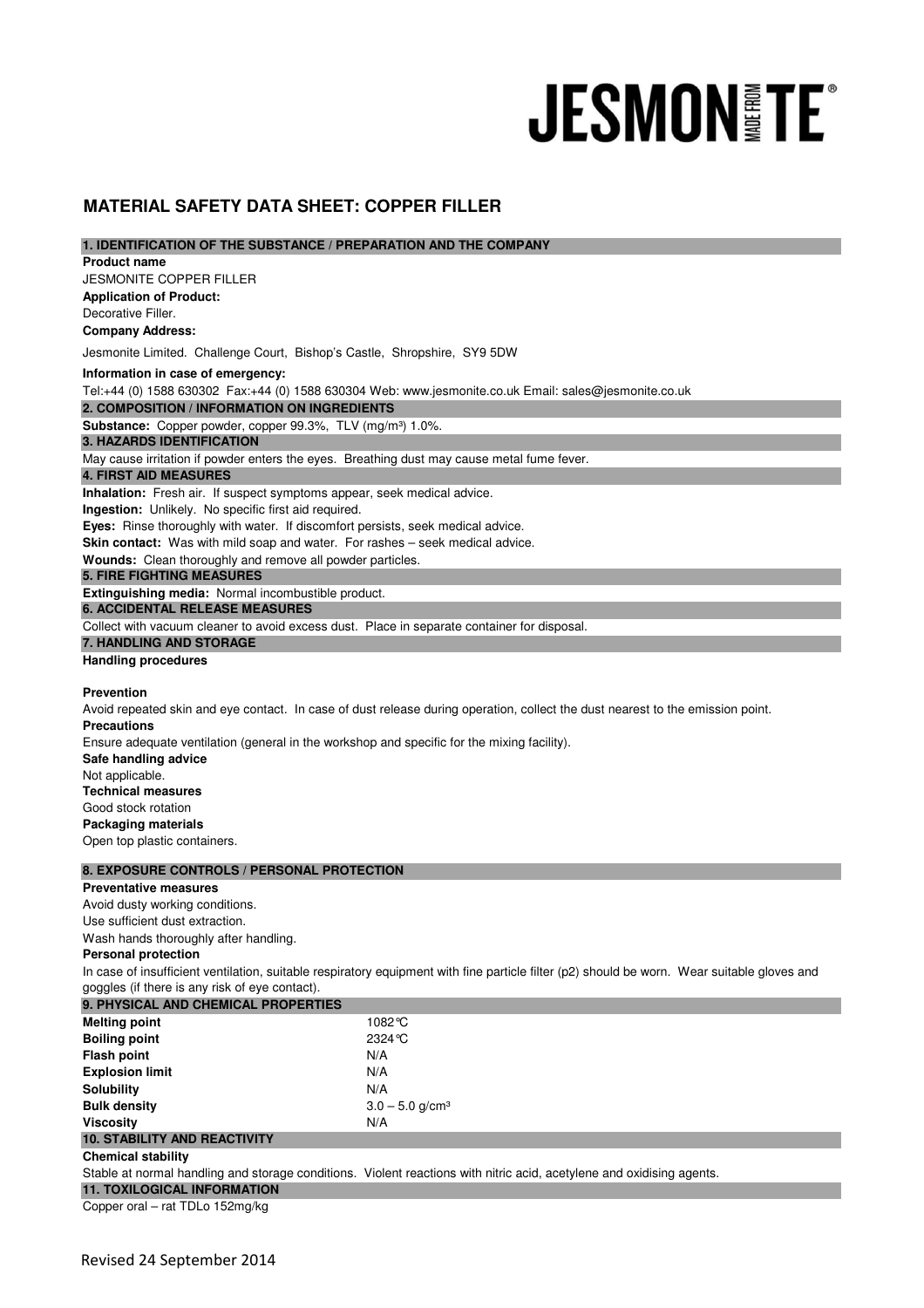# **JESMON TE**

# **MATERIAL SAFETY DATA SHEET: COPPER FILLER**

| 1. IDENTIFICATION OF THE SUBSTANCE / PREPARATION AND THE COMPANY |  |
|------------------------------------------------------------------|--|
|------------------------------------------------------------------|--|

| <b>Product name</b> |  |
|---------------------|--|
|---------------------|--|

JESMONITE COPPER FILLER **Application of Product:**  Decorative Filler.

**Company Address:**

Jesmonite Limited. Challenge Court, Bishop's Castle, Shropshire, SY9 5DW

**Information in case of emergency:**

Tel:+44 (0) 1588 630302 Fax:+44 (0) 1588 630304 Web: www.jesmonite.co.uk Email: sales@jesmonite.co.uk

**2. COMPOSITION / INFORMATION ON INGREDIENTS** 

Substance: Copper powder, copper 99.3%, TLV (mg/m<sup>3</sup>) 1.0%.

# **3. HAZARDS IDENTIFICATION**

May cause irritation if powder enters the eyes. Breathing dust may cause metal fume fever.

## **4. FIRST AID MEASURES**

**Inhalation:** Fresh air. If suspect symptoms appear, seek medical advice.

**Ingestion:** Unlikely. No specific first aid required.

**Eyes:** Rinse thoroughly with water. If discomfort persists, seek medical advice.

**Skin contact:** Was with mild soap and water. For rashes – seek medical advice.

**Wounds:** Clean thoroughly and remove all powder particles.

## **5. FIRE FIGHTING MEASURES**

**Extinguishing media:** Normal incombustible product.

**6. ACCIDENTAL RELEASE MEASURES** 

Collect with vacuum cleaner to avoid excess dust. Place in separate container for disposal.

## **7. HANDLING AND STORAGE**

#### **Handling procedures**

#### **Prevention**

Avoid repeated skin and eye contact. In case of dust release during operation, collect the dust nearest to the emission point. **Precautions** Ensure adequate ventilation (general in the workshop and specific for the mixing facility).

**Safe handling advice** Not applicable. **Technical measures** Good stock rotation **Packaging materials**

Open top plastic containers.

#### **8. EXPOSURE CONTROLS / PERSONAL PROTECTION**

#### **Preventative measures**

Avoid dusty working conditions.

Use sufficient dust extraction.

Wash hands thoroughly after handling.

## **Personal protection**

In case of insufficient ventilation, suitable respiratory equipment with fine particle filter (p2) should be worn. Wear suitable gloves and goggles (if there is any risk of eye contact).

| <b>9. PHYSICAL AND CHEMICAL PROPERTIES</b> |                               |  |
|--------------------------------------------|-------------------------------|--|
| <b>Melting point</b>                       | 1082°C                        |  |
| <b>Boiling point</b>                       | $2324^\circ C$                |  |
| <b>Flash point</b>                         | N/A                           |  |
| <b>Explosion limit</b>                     | N/A                           |  |
| <b>Solubility</b>                          | N/A                           |  |
| <b>Bulk density</b>                        | $3.0 - 5.0$ g/cm <sup>3</sup> |  |
| <b>Viscosity</b>                           | N/A                           |  |
| <b>10. STABILITY AND REACTIVITY</b>        |                               |  |

#### **Chemical stability**

Stable at normal handling and storage conditions. Violent reactions with nitric acid, acetylene and oxidising agents.

**11. TOXILOGICAL INFORMATION**

Copper oral – rat TDLo 152mg/kg